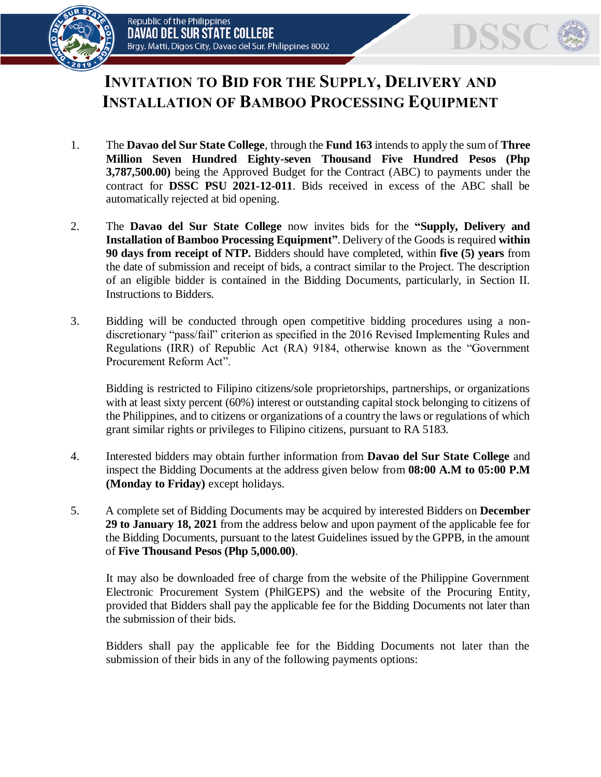



## **INVITATION TO BID FOR THE SUPPLY, DELIVERY AND INSTALLATION OF BAMBOO PROCESSING EQUIPMENT**

- 1. The **Davao del Sur State College**, through the **Fund 163** intends to apply the sum of **Three Million Seven Hundred Eighty-seven Thousand Five Hundred Pesos (Php 3,787,500.00)** being the Approved Budget for the Contract (ABC) to payments under the contract for **DSSC PSU 2021-12-011**. Bids received in excess of the ABC shall be automatically rejected at bid opening.
- 2. The **Davao del Sur State College** now invites bids for the **"Supply, Delivery and Installation of Bamboo Processing Equipment"**. Delivery of the Goods is required **within 90 days from receipt of NTP.** Bidders should have completed, within **five (5) years** from the date of submission and receipt of bids, a contract similar to the Project. The description of an eligible bidder is contained in the Bidding Documents, particularly, in Section II. Instructions to Bidders.
- 3. Bidding will be conducted through open competitive bidding procedures using a nondiscretionary "pass/fail" criterion as specified in the 2016 Revised Implementing Rules and Regulations (IRR) of Republic Act (RA) 9184, otherwise known as the "Government Procurement Reform Act".

Bidding is restricted to Filipino citizens/sole proprietorships, partnerships, or organizations with at least sixty percent (60%) interest or outstanding capital stock belonging to citizens of the Philippines, and to citizens or organizations of a country the laws or regulations of which grant similar rights or privileges to Filipino citizens, pursuant to RA 5183.

- 4. Interested bidders may obtain further information from **Davao del Sur State College** and inspect the Bidding Documents at the address given below from **08:00 A.M to 05:00 P.M (Monday to Friday)** except holidays.
- 5. A complete set of Bidding Documents may be acquired by interested Bidders on **December 29 to January 18, 2021** from the address below and upon payment of the applicable fee for the Bidding Documents, pursuant to the latest Guidelines issued by the GPPB, in the amount of **Five Thousand Pesos (Php 5,000.00)**.

It may also be downloaded free of charge from the website of the Philippine Government Electronic Procurement System (PhilGEPS) and the website of the Procuring Entity*,*  provided that Bidders shall pay the applicable fee for the Bidding Documents not later than the submission of their bids.

Bidders shall pay the applicable fee for the Bidding Documents not later than the submission of their bids in any of the following payments options: